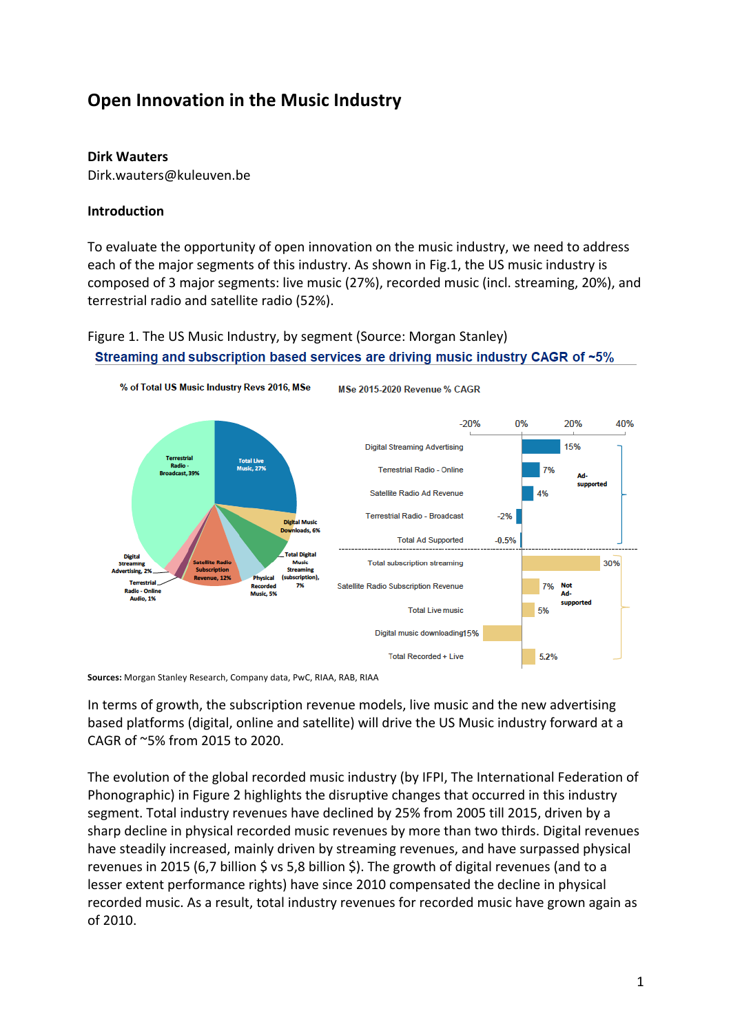# **Open Innovation in the Music Industry**

## **Dirk Wauters**

Dirk.wauters@kuleuven.be

## **Introduction**

To evaluate the opportunity of open innovation on the music industry, we need to address each of the major segments of this industry. As shown in Fig.1, the US music industry is composed of 3 major segments: live music (27%), recorded music (incl. streaming, 20%), and terrestrial radio and satellite radio (52%).

# Figure 1. The US Music Industry, by segment (Source: Morgan Stanley) Streaming and subscription based services are driving music industry CAGR of ~5%



Sources: Morgan Stanley Research, Company data, PwC, RIAA, RAB, RIAA

In terms of growth, the subscription revenue models, live music and the new advertising based platforms (digital, online and satellite) will drive the US Music industry forward at a CAGR of  $\sim$ 5% from 2015 to 2020.

The evolution of the global recorded music industry (by IFPI, The International Federation of Phonographic) in Figure 2 highlights the disruptive changes that occurred in this industry segment. Total industry revenues have declined by 25% from 2005 till 2015, driven by a sharp decline in physical recorded music revenues by more than two thirds. Digital revenues have steadily increased, mainly driven by streaming revenues, and have surpassed physical revenues in 2015 (6,7 billion  $\zeta$  vs 5,8 billion  $\zeta$ ). The growth of digital revenues (and to a lesser extent performance rights) have since 2010 compensated the decline in physical recorded music. As a result, total industry revenues for recorded music have grown again as of 2010.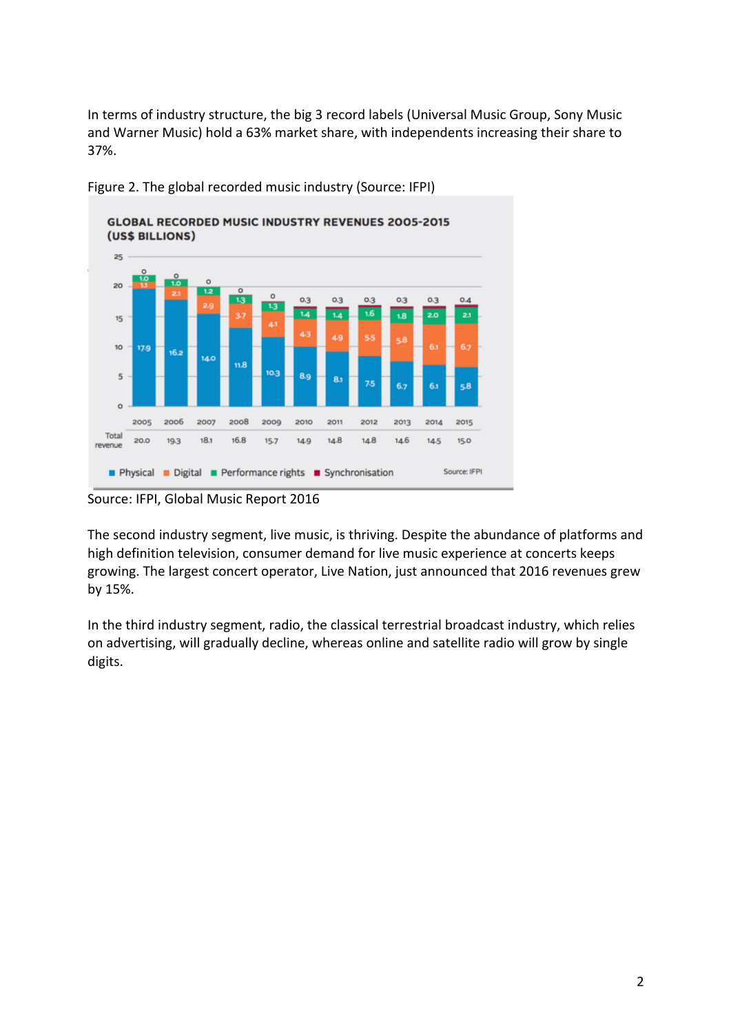In terms of industry structure, the big 3 record labels (Universal Music Group, Sony Music and Warner Music) hold a 63% market share, with independents increasing their share to 37%.



Figure 2. The global recorded music industry (Source: IFPI)

Source: IFPI, Global Music Report 2016

The second industry segment, live music, is thriving. Despite the abundance of platforms and high definition television, consumer demand for live music experience at concerts keeps growing. The largest concert operator, Live Nation, just announced that 2016 revenues grew by 15%.

In the third industry segment, radio, the classical terrestrial broadcast industry, which relies on advertising, will gradually decline, whereas online and satellite radio will grow by single digits.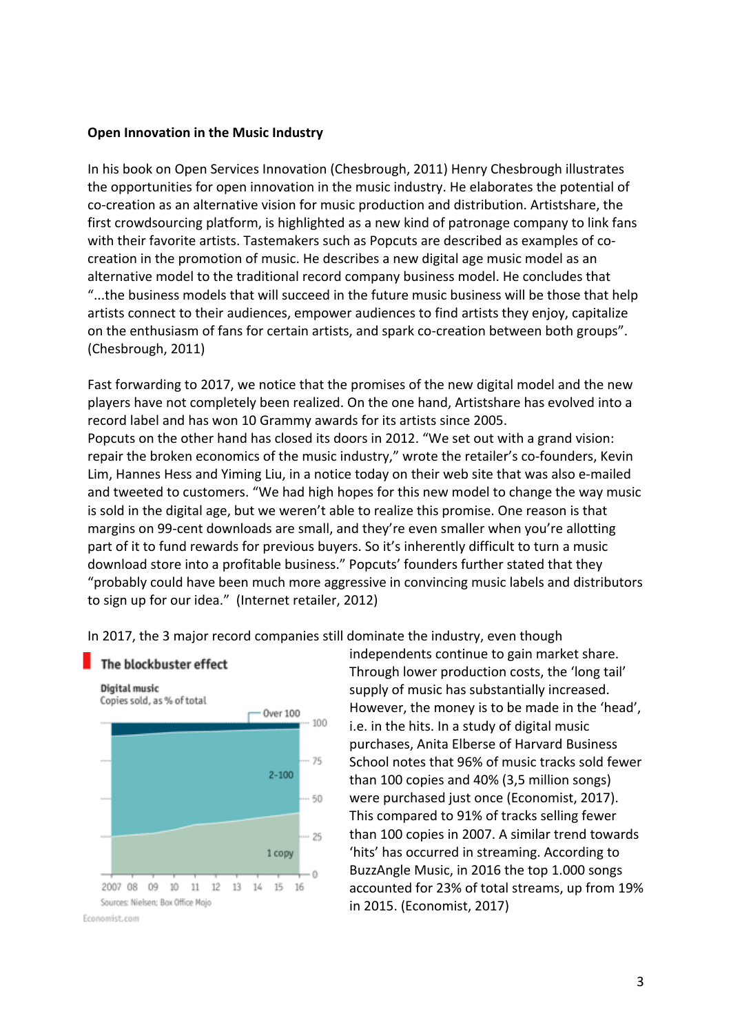#### **Open Innovation in the Music Industry**

In his book on Open Services Innovation (Chesbrough, 2011) Henry Chesbrough illustrates the opportunities for open innovation in the music industry. He elaborates the potential of co-creation as an alternative vision for music production and distribution. Artistshare, the first crowdsourcing platform, is highlighted as a new kind of patronage company to link fans with their favorite artists. Tastemakers such as Popcuts are described as examples of cocreation in the promotion of music. He describes a new digital age music model as an alternative model to the traditional record company business model. He concludes that "...the business models that will succeed in the future music business will be those that help artists connect to their audiences, empower audiences to find artists they enjoy, capitalize on the enthusiasm of fans for certain artists, and spark co-creation between both groups". (Chesbrough, 2011)

Fast forwarding to 2017, we notice that the promises of the new digital model and the new players have not completely been realized. On the one hand, Artistshare has evolved into a record label and has won 10 Grammy awards for its artists since 2005. Popcuts on the other hand has closed its doors in 2012. "We set out with a grand vision: repair the broken economics of the music industry," wrote the retailer's co-founders, Kevin Lim, Hannes Hess and Yiming Liu, in a notice today on their web site that was also e-mailed and tweeted to customers. "We had high hopes for this new model to change the way music is sold in the digital age, but we weren't able to realize this promise. One reason is that margins on 99-cent downloads are small, and they're even smaller when you're allotting part of it to fund rewards for previous buyers. So it's inherently difficult to turn a music download store into a profitable business." Popcuts' founders further stated that they "probably could have been much more aggressive in convincing music labels and distributors to sign up for our idea." (Internet retailer, 2012)

In 2017, the 3 major record companies still dominate the industry, even though

#### The blockbuster effect



independents continue to gain market share. Through lower production costs, the 'long tail' supply of music has substantially increased. However, the money is to be made in the 'head', i.e. in the hits. In a study of digital music purchases, Anita Elberse of Harvard Business School notes that 96% of music tracks sold fewer than 100 copies and 40% (3,5 million songs) were purchased just once (Economist, 2017). This compared to 91% of tracks selling fewer than 100 copies in 2007. A similar trend towards 'hits' has occurred in streaming. According to BuzzAngle Music, in 2016 the top 1.000 songs accounted for 23% of total streams, up from 19% in 2015. (Economist, 2017)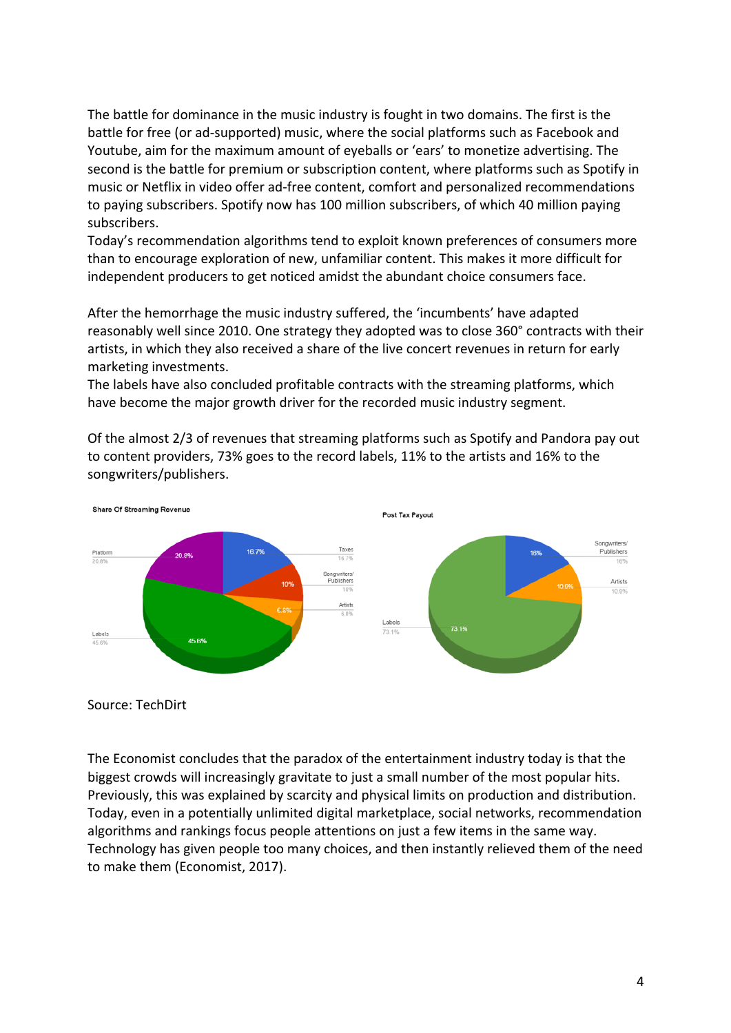The battle for dominance in the music industry is fought in two domains. The first is the battle for free (or ad-supported) music, where the social platforms such as Facebook and Youtube, aim for the maximum amount of eyeballs or 'ears' to monetize advertising. The second is the battle for premium or subscription content, where platforms such as Spotify in music or Netflix in video offer ad-free content, comfort and personalized recommendations to paying subscribers. Spotify now has 100 million subscribers, of which 40 million paying subscribers.

Today's recommendation algorithms tend to exploit known preferences of consumers more than to encourage exploration of new, unfamiliar content. This makes it more difficult for independent producers to get noticed amidst the abundant choice consumers face.

After the hemorrhage the music industry suffered, the 'incumbents' have adapted reasonably well since 2010. One strategy they adopted was to close 360° contracts with their artists, in which they also received a share of the live concert revenues in return for early marketing investments.

The labels have also concluded profitable contracts with the streaming platforms, which have become the major growth driver for the recorded music industry segment.

Of the almost 2/3 of revenues that streaming platforms such as Spotify and Pandora pay out to content providers, 73% goes to the record labels, 11% to the artists and 16% to the songwriters/publishers. 



Source: TechDirt

The Economist concludes that the paradox of the entertainment industry today is that the biggest crowds will increasingly gravitate to just a small number of the most popular hits. Previously, this was explained by scarcity and physical limits on production and distribution. Today, even in a potentially unlimited digital marketplace, social networks, recommendation algorithms and rankings focus people attentions on just a few items in the same way. Technology has given people too many choices, and then instantly relieved them of the need to make them (Economist, 2017).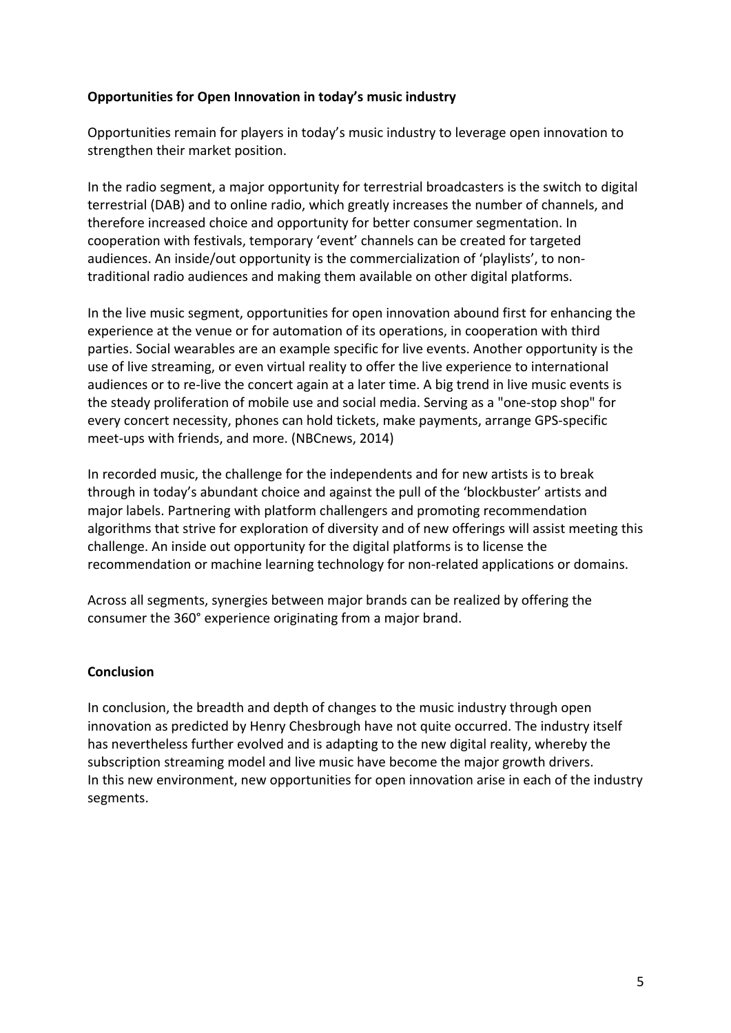# **Opportunities for Open Innovation in today's music industry**

Opportunities remain for players in today's music industry to leverage open innovation to strengthen their market position.

In the radio segment, a major opportunity for terrestrial broadcasters is the switch to digital terrestrial (DAB) and to online radio, which greatly increases the number of channels, and therefore increased choice and opportunity for better consumer segmentation. In cooperation with festivals, temporary 'event' channels can be created for targeted audiences. An inside/out opportunity is the commercialization of 'playlists', to nontraditional radio audiences and making them available on other digital platforms.

In the live music segment, opportunities for open innovation abound first for enhancing the experience at the venue or for automation of its operations, in cooperation with third parties. Social wearables are an example specific for live events. Another opportunity is the use of live streaming, or even virtual reality to offer the live experience to international audiences or to re-live the concert again at a later time. A big trend in live music events is the steady proliferation of mobile use and social media. Serving as a "one-stop shop" for every concert necessity, phones can hold tickets, make payments, arrange GPS-specific meet-ups with friends, and more. (NBCnews, 2014)

In recorded music, the challenge for the independents and for new artists is to break through in today's abundant choice and against the pull of the 'blockbuster' artists and major labels. Partnering with platform challengers and promoting recommendation algorithms that strive for exploration of diversity and of new offerings will assist meeting this challenge. An inside out opportunity for the digital platforms is to license the recommendation or machine learning technology for non-related applications or domains.

Across all segments, synergies between major brands can be realized by offering the consumer the 360° experience originating from a major brand.

## **Conclusion**

In conclusion, the breadth and depth of changes to the music industry through open innovation as predicted by Henry Chesbrough have not quite occurred. The industry itself has nevertheless further evolved and is adapting to the new digital reality, whereby the subscription streaming model and live music have become the major growth drivers. In this new environment, new opportunities for open innovation arise in each of the industry segments.